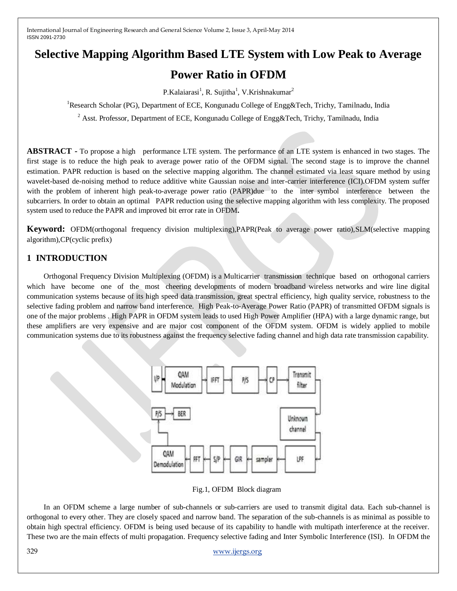# **Selective Mapping Algorithm Based LTE System with Low Peak to Average**

## **Power Ratio in OFDM**

P.Kalaiarasi<sup>1</sup>, R. Sujitha<sup>1</sup>, V.Krishnakumar<sup>2</sup>

<sup>1</sup>Research Scholar (PG), Department of ECE, Kongunadu College of Engg&Tech, Trichy, Tamilnadu, India

<sup>2</sup> Asst. Professor, Department of ECE, Kongunadu College of Engg&Tech, Trichy, Tamilnadu, India

**ABSTRACT -** To propose a high performance LTE system. The performance of an LTE system is enhanced in two stages. The first stage is to reduce the high peak to average power ratio of the OFDM signal. The second stage is to improve the channel estimation. PAPR reduction is based on the selective mapping algorithm. The channel estimated via least square method by using wavelet-based de-noising method to reduce additive white Gaussian noise and inter-carrier interference (ICI).OFDM system suffer with the problem of inherent high peak-to-average power ratio (PAPR)due to the inter symbol interference between the subcarriers. In order to obtain an optimal PAPR reduction using the selective mapping algorithm with less complexity. The proposed system used to reduce the PAPR and improved bit error rate in OFDM**.**

**Keyword:** OFDM(orthogonal frequency division multiplexing),PAPR(Peak to average power ratio),SLM(selective mapping algorithm),CP(cyclic prefix)

## **1 INTRODUCTION**

Orthogonal Frequency Division Multiplexing (OFDM) is a Multicarrier transmission technique based on orthogonal carriers which have become one of the most cheering developments of modern broadband wireless networks and wire line digital communication systems because of its high speed data transmission, great spectral efficiency, high quality service, robustness to the selective fading problem and narrow band interference. High Peak-to-Average Power Ratio (PAPR) of transmitted OFDM signals is one of the major problems . High PAPR in OFDM system leads to used High Power Amplifier (HPA) with a large dynamic range, but these amplifiers are very expensive and are major cost component of the OFDM system. OFDM is widely applied to mobile communication systems due to its robustness against the frequency selective fading channel and high data rate transmission capability.



Fig.1, OFDM Block diagram

In an OFDM scheme a large number of sub-channels or sub-carriers are used to transmit digital data. Each sub-channel is orthogonal to every other. They are closely spaced and narrow band. The separation of the sub-channels is as minimal as possible to obtain high spectral efficiency. OFDM is being used because of its capability to handle with multipath interference at the receiver. These two are the main effects of multi propagation. Frequency selective fading and Inter Symbolic Interference (ISI). In OFDM the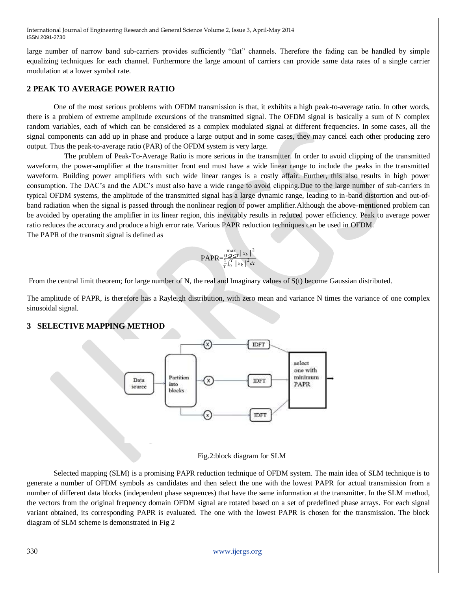large number of narrow band sub-carriers provides sufficiently "flat" channels. Therefore the fading can be handled by simple equalizing techniques for each channel. Furthermore the large amount of carriers can provide same data rates of a single carrier modulation at a lower symbol rate.

### **2 PEAK TO AVERAGE POWER RATIO**

One of the most serious problems with OFDM transmission is that, it exhibits a high peak-to-average ratio. In other words, there is a problem of extreme amplitude excursions of the transmitted signal. The OFDM signal is basically a sum of N complex random variables, each of which can be considered as a complex modulated signal at different frequencies. In some cases, all the signal components can add up in phase and produce a large output and in some cases, they may cancel each other producing zero output. Thus the peak-to-average ratio (PAR) of the OFDM system is very large.

 The problem of Peak-To-Average Ratio is more serious in the transmitter. In order to avoid clipping of the transmitted waveform, the power-amplifier at the transmitter front end must have a wide linear range to include the peaks in the transmitted waveform. Building power amplifiers with such wide linear ranges is a costly affair. Further, this also results in high power consumption. The DAC's and the ADC's must also have a wide range to avoid clipping.Due to the large number of sub-carriers in typical OFDM systems, the amplitude of the transmitted signal has a large dynamic range, leading to in-band distortion and out-ofband radiation when the signal is passed through the nonlinear region of power amplifier.Although the above-mentioned problem can be avoided by operating the amplifier in its linear region, this inevitably results in reduced power efficiency. Peak to average power ratio reduces the accuracy and produce a high error rate. Various PAPR reduction techniques can be used in OFDM. The PAPR of the transmit signal is defined as

#### PAPR=  $\frac{\max}{0 \leq t \leq T} |x_k|^2$  $\frac{1}{T} \int_0^T |x_k|^2 dt$

From the central limit theorem; for large number of N, the real and Imaginary values of S(t) become Gaussian distributed.

The amplitude of PAPR, is therefore has a Rayleigh distribution, with zero mean and variance N times the variance of one complex sinusoidal signal.

### **3 SELECTIVE MAPPING METHOD**



#### Fig.2:block diagram for SLM

Selected mapping (SLM) is a promising PAPR reduction technique of OFDM system. The main idea of SLM technique is to generate a number of OFDM symbols as candidates and then select the one with the lowest PAPR for actual transmission from a number of different data blocks (independent phase sequences) that have the same information at the transmitter. In the SLM method, the vectors from the original frequency domain OFDM signal are rotated based on a set of predefined phase arrays. For each signal variant obtained, its corresponding PAPR is evaluated. The one with the lowest PAPR is chosen for the transmission. The block diagram of SLM scheme is demonstrated in Fig 2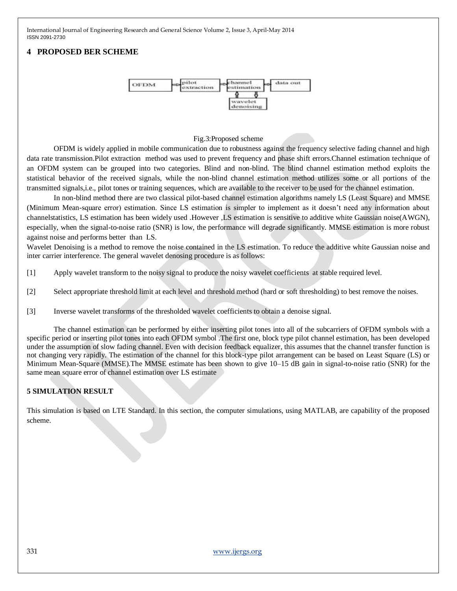## **4 PROPOSED BER SCHEME**



#### Fig.3:Proposed scheme

OFDM is widely applied in mobile communication due to robustness against the frequency selective fading channel and high data rate transmission.Pilot extraction method was used to prevent frequency and phase shift errors.Channel estimation technique of an OFDM system can be grouped into two categories. Blind and non-blind. The blind channel estimation method exploits the statistical behavior of the received signals, while the non-blind channel estimation method utilizes some or all portions of the transmitted signals,i.e., pilot tones or training sequences, which are available to the receiver to be used for the channel estimation.

In non-blind method there are two classical pilot-based channel estimation algorithms namely LS (Least Square) and MMSE (Minimum Mean-square error) estimation. Since LS estimation is simpler to implement as it doesn't need any information about channelstatistics, LS estimation has been widely used .However ,LS estimation is sensitive to additive white Gaussian noise(AWGN), especially, when the signal-to-noise ratio (SNR) is low, the performance will degrade significantly. MMSE estimation is more robust against noise and performs better than LS.

Wavelet Denoising is a method to remove the noise contained in the LS estimation. To reduce the additive white Gaussian noise and inter carrier interference. The general wavelet denosing procedure is as follows:

[1] Apply wavelet transform to the noisy signal to produce the noisy wavelet coefficients at stable required level.

- [2] Select appropriate threshold limit at each level and threshold method (hard or soft thresholding) to best remove the noises.
- [3] Inverse wavelet transforms of the thresholded wavelet coefficients to obtain a denoise signal.

The channel estimation can be performed by either inserting pilot tones into all of the subcarriers of OFDM symbols with a specific period or inserting pilot tones into each OFDM symbol .The first one, block type pilot channel estimation, has been developed under the assumption of slow fading channel. Even with decision feedback equalizer, this assumes that the channel transfer function is not changing very rapidly. The estimation of the channel for this block-type pilot arrangement can be based on Least Square (LS) or Minimum Mean-Square (MMSE).The MMSE estimate has been shown to give 10–15 dB gain in signal-to-noise ratio (SNR) for the same mean square error of channel estimation over LS estimate

### **5 SIMULATION RESULT**

This simulation is based on LTE Standard. In this section, the computer simulations, using MATLAB, are capability of the proposed scheme.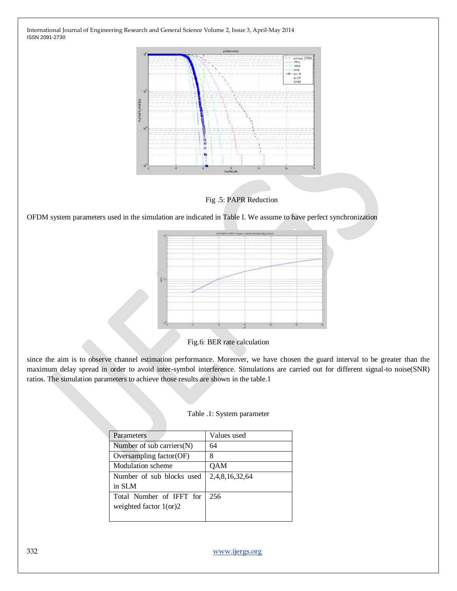

Fig .5: PAPR Reduction

OFDM system parameters used in the simulation are indicated in Table I. We assume to have perfect synchronization



Fig.6: BER rate calculation

since the aim is to observe channel estimation performance. Moreover, we have chosen the guard interval to be greater than the maximum delay spread in order to avoid inter-symbol interference. Simulations are carried out for different signal-to noise(SNR) ratios. The simulation parameters to achieve those results are shown in the table.1

| Parameters                   | Values used    |
|------------------------------|----------------|
| Number of $sub carriers(N)$  | 64             |
| Oversampling factor $OF$     | 8              |
| Modulation scheme            | QAM            |
| Number of sub blocks used    | 2,4,8,16,32,64 |
| in SLM                       |                |
| Total Number of IFFT for     | 256            |
| weighted factor $1$ (or) $2$ |                |
|                              |                |

| Table .1: System parameter |  |
|----------------------------|--|
|----------------------------|--|

332 [www.ijergs.org](http://www.ijergs.org/)